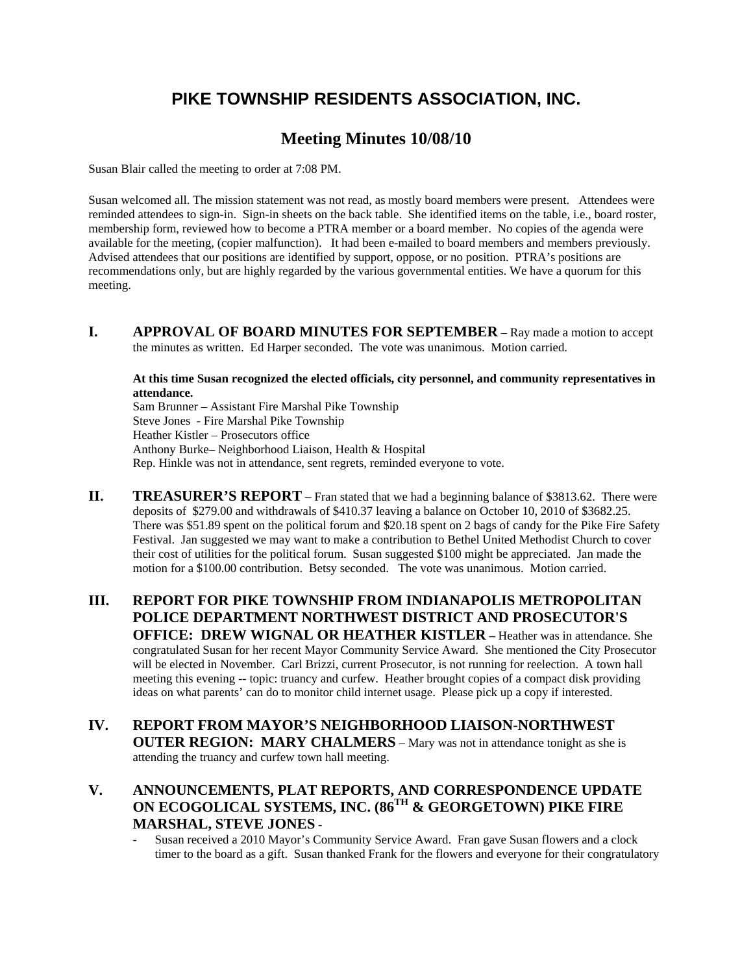## **PIKE TOWNSHIP RESIDENTS ASSOCIATION, INC.**

## **Meeting Minutes 10/08/10**

Susan Blair called the meeting to order at 7:08 PM.

Susan welcomed all. The mission statement was not read, as mostly board members were present. Attendees were reminded attendees to sign-in. Sign-in sheets on the back table. She identified items on the table, i.e., board roster, membership form, reviewed how to become a PTRA member or a board member. No copies of the agenda were available for the meeting, (copier malfunction). It had been e-mailed to board members and members previously. Advised attendees that our positions are identified by support, oppose, or no position. PTRA's positions are recommendations only, but are highly regarded by the various governmental entities. We have a quorum for this meeting.

**I.** APPROVAL OF BOARD MINUTES FOR SEPTEMBER – Ray made a motion to accept the minutes as written. Ed Harper seconded. The vote was unanimous. Motion carried.

**At this time Susan recognized the elected officials, city personnel, and community representatives in attendance.** 

Sam Brunner – Assistant Fire Marshal Pike Township Steve Jones - Fire Marshal Pike Township Heather Kistler – Prosecutors office Anthony Burke– Neighborhood Liaison, Health & Hospital Rep. Hinkle was not in attendance, sent regrets, reminded everyone to vote.

- **II.** TREASURER'S REPORT Fran stated that we had a beginning balance of \$3813.62. There were deposits of \$279.00 and withdrawals of \$410.37 leaving a balance on October 10, 2010 of \$3682.25. There was \$51.89 spent on the political forum and \$20.18 spent on 2 bags of candy for the Pike Fire Safety Festival. Jan suggested we may want to make a contribution to Bethel United Methodist Church to cover their cost of utilities for the political forum. Susan suggested \$100 might be appreciated. Jan made the motion for a \$100.00 contribution. Betsy seconded. The vote was unanimous. Motion carried.
- **III. REPORT FOR PIKE TOWNSHIP FROM INDIANAPOLIS METROPOLITAN POLICE DEPARTMENT NORTHWEST DISTRICT AND PROSECUTOR'S OFFICE: DREW WIGNAL OR HEATHER KISTLER – Heather was in attendance. She** congratulated Susan for her recent Mayor Community Service Award. She mentioned the City Prosecutor will be elected in November. Carl Brizzi, current Prosecutor, is not running for reelection. A town hall meeting this evening -- topic: truancy and curfew. Heather brought copies of a compact disk providing ideas on what parents' can do to monitor child internet usage. Please pick up a copy if interested.
- **IV. REPORT FROM MAYOR'S NEIGHBORHOOD LIAISON-NORTHWEST OUTER REGION: MARY CHALMERS** – Mary was not in attendance tonight as she is attending the truancy and curfew town hall meeting.
- **V. ANNOUNCEMENTS, PLAT REPORTS, AND CORRESPONDENCE UPDATE ON ECOGOLICAL SYSTEMS, INC. (86TH & GEORGETOWN) PIKE FIRE MARSHAL, STEVE JONES** -
	- Susan received a 2010 Mayor's Community Service Award. Fran gave Susan flowers and a clock timer to the board as a gift. Susan thanked Frank for the flowers and everyone for their congratulatory